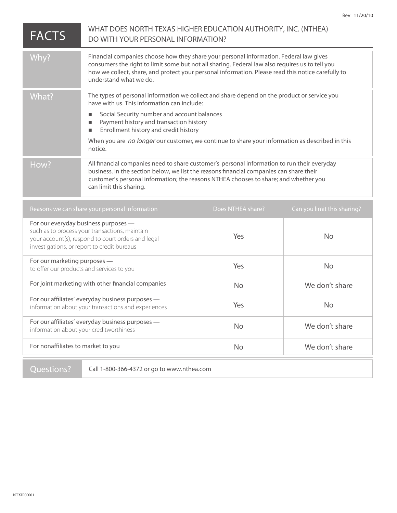| <b>FACTS</b>                                                                                                                                                                                | WHAT DOES NORTH TEXAS HIGHER EDUCATION AUTHORITY, INC. (NTHEA)<br>DO WITH YOUR PERSONAL INFORMATION?                                                                                                                                                                                                                      |           |                |
|---------------------------------------------------------------------------------------------------------------------------------------------------------------------------------------------|---------------------------------------------------------------------------------------------------------------------------------------------------------------------------------------------------------------------------------------------------------------------------------------------------------------------------|-----------|----------------|
| Why?                                                                                                                                                                                        | Financial companies choose how they share your personal information. Federal law gives<br>consumers the right to limit some but not all sharing. Federal law also requires us to tell you<br>how we collect, share, and protect your personal information. Please read this notice carefully to<br>understand what we do. |           |                |
| What?                                                                                                                                                                                       | The types of personal information we collect and share depend on the product or service you<br>have with us. This information can include:<br>Social Security number and account balances<br>L.<br>Payment history and transaction history<br>L.<br>Enrollment history and credit history<br>$\blacksquare$               |           |                |
|                                                                                                                                                                                             | When you are no longer our customer, we continue to share your information as described in this<br>notice.                                                                                                                                                                                                                |           |                |
| How?                                                                                                                                                                                        | All financial companies need to share customer's personal information to run their everyday<br>business. In the section below, we list the reasons financial companies can share their<br>customer's personal information; the reasons NTHEA chooses to share; and whether you<br>can limit this sharing.                 |           |                |
| Reasons we can share your personal information<br>Does NTHEA share?<br>Can you limit this sharing?                                                                                          |                                                                                                                                                                                                                                                                                                                           |           |                |
| For our everyday business purposes -<br>such as to process your transactions, maintain<br>your account(s), respond to court orders and legal<br>investigations, or report to credit bureaus |                                                                                                                                                                                                                                                                                                                           | Yes       | <b>No</b>      |
| For our marketing purposes -<br>to offer our products and services to you                                                                                                                   |                                                                                                                                                                                                                                                                                                                           | Yes       | No             |
| For joint marketing with other financial companies                                                                                                                                          |                                                                                                                                                                                                                                                                                                                           | <b>No</b> | We don't share |
| For our affiliates' everyday business purposes -<br>information about your transactions and experiences                                                                                     |                                                                                                                                                                                                                                                                                                                           | Yes       | No             |
| For our affiliates' everyday business purposes -<br>information about your creditworthiness                                                                                                 |                                                                                                                                                                                                                                                                                                                           | <b>No</b> | We don't share |
| For nonaffiliates to market to you                                                                                                                                                          |                                                                                                                                                                                                                                                                                                                           | No        | We don't share |
|                                                                                                                                                                                             |                                                                                                                                                                                                                                                                                                                           |           |                |

Questions? | Call 1-800-366-4372 or go to www.nthea.com